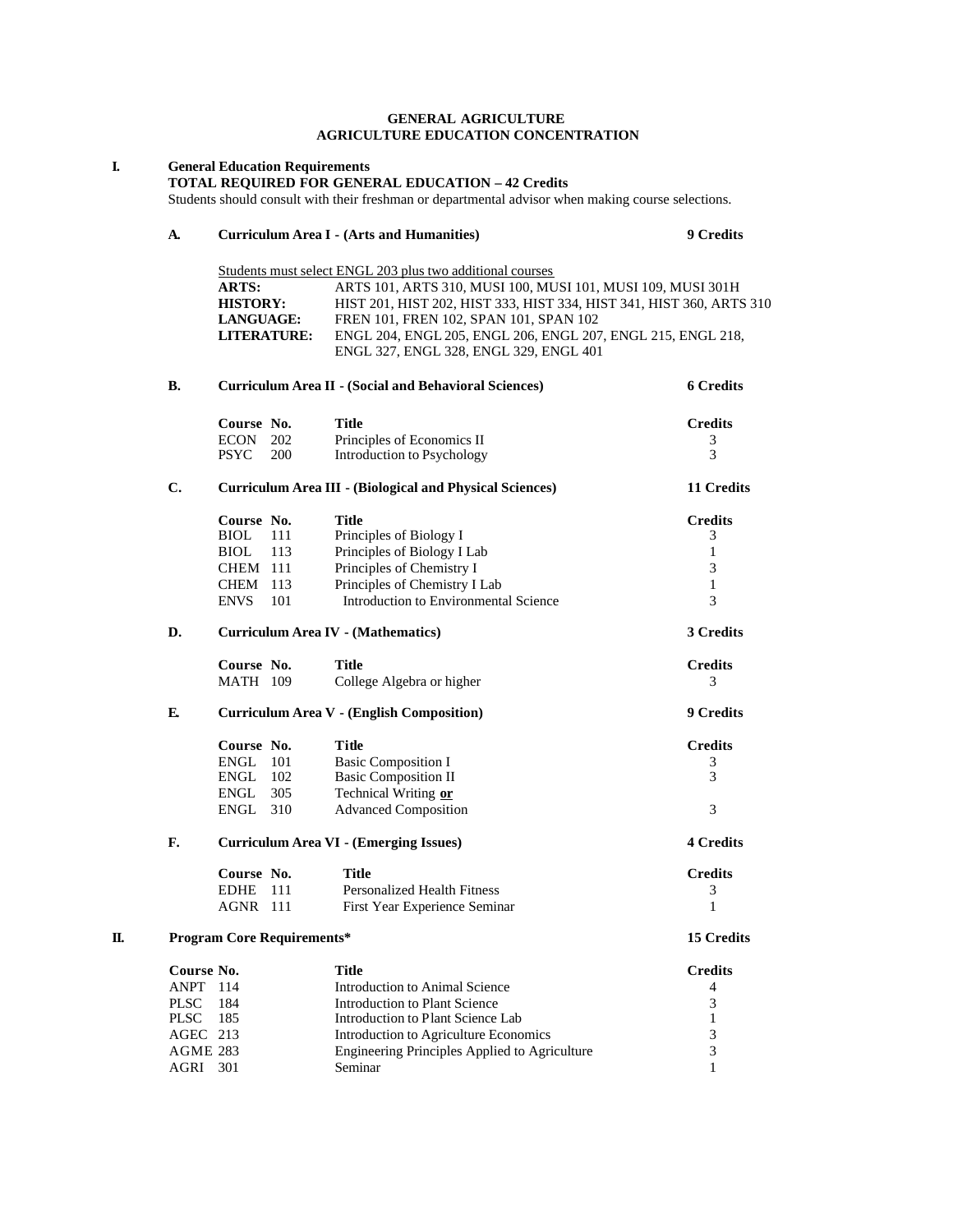#### **GENERAL AGRICULTURE AGRICULTURE EDUCATION CONCENTRATION**

|                 |                                                  |                                   | <b>TOTAL REQUIRED FOR GENERAL EDUCATION - 42 Credits</b><br>Students should consult with their freshman or departmental advisor when making course selections. |                  |
|-----------------|--------------------------------------------------|-----------------------------------|----------------------------------------------------------------------------------------------------------------------------------------------------------------|------------------|
| A.              |                                                  |                                   | <b>Curriculum Area I - (Arts and Humanities)</b>                                                                                                               | <b>9 Credits</b> |
|                 |                                                  |                                   |                                                                                                                                                                |                  |
|                 |                                                  |                                   | Students must select ENGL 203 plus two additional courses                                                                                                      |                  |
|                 | ARTS:<br><b>HISTORY:</b>                         |                                   | ARTS 101, ARTS 310, MUSI 100, MUSI 101, MUSI 109, MUSI 301H<br>HIST 201, HIST 202, HIST 333, HIST 334, HIST 341, HIST 360, ARTS 310                            |                  |
|                 | <b>LANGUAGE:</b>                                 |                                   | FREN 101, FREN 102, SPAN 101, SPAN 102                                                                                                                         |                  |
|                 |                                                  | <b>LITERATURE:</b>                | ENGL 204, ENGL 205, ENGL 206, ENGL 207, ENGL 215, ENGL 218,                                                                                                    |                  |
|                 |                                                  |                                   | ENGL 327, ENGL 328, ENGL 329, ENGL 401                                                                                                                         |                  |
| В.              |                                                  |                                   | <b>Curriculum Area II - (Social and Behavioral Sciences)</b>                                                                                                   | <b>6 Credits</b> |
|                 | Course No.                                       |                                   | <b>Title</b>                                                                                                                                                   | <b>Credits</b>   |
|                 | <b>ECON</b>                                      | 202                               | Principles of Economics II                                                                                                                                     | 3                |
|                 | <b>PSYC</b>                                      | 200                               | Introduction to Psychology                                                                                                                                     | 3                |
| $\mathbf{C}$ .  |                                                  |                                   | <b>Curriculum Area III - (Biological and Physical Sciences)</b>                                                                                                | 11 Credits       |
|                 | Course No.                                       |                                   | <b>Title</b>                                                                                                                                                   | <b>Credits</b>   |
|                 | BIOL                                             | 111                               | Principles of Biology I                                                                                                                                        | 3                |
|                 | <b>BIOL</b>                                      | 113                               | Principles of Biology I Lab                                                                                                                                    | 1                |
|                 | <b>CHEM 111</b>                                  |                                   | Principles of Chemistry I                                                                                                                                      | 3                |
|                 | <b>CHEM</b> 113                                  |                                   | Principles of Chemistry I Lab                                                                                                                                  | 1                |
|                 | <b>ENVS</b>                                      | 101                               | Introduction to Environmental Science                                                                                                                          | 3                |
| D.              |                                                  |                                   | <b>Curriculum Area IV - (Mathematics)</b>                                                                                                                      | 3 Credits        |
|                 | Course No.                                       |                                   | <b>Title</b>                                                                                                                                                   | <b>Credits</b>   |
|                 | <b>MATH 109</b>                                  |                                   | College Algebra or higher                                                                                                                                      | 3                |
| E.              | <b>Curriculum Area V - (English Composition)</b> |                                   |                                                                                                                                                                | <b>9 Credits</b> |
|                 | Course No.                                       |                                   | <b>Title</b>                                                                                                                                                   | <b>Credits</b>   |
|                 | <b>ENGL</b> 101                                  |                                   | <b>Basic Composition I</b>                                                                                                                                     | 3                |
|                 | ENGL 102                                         |                                   | <b>Basic Composition II</b>                                                                                                                                    | 3                |
|                 | ENGL<br>ENGL 310                                 | 305                               | Technical Writing or<br><b>Advanced Composition</b>                                                                                                            | 3                |
|                 |                                                  |                                   |                                                                                                                                                                |                  |
| F.              |                                                  |                                   | <b>Curriculum Area VI - (Emerging Issues)</b>                                                                                                                  | <b>4 Credits</b> |
|                 | Course No.                                       |                                   | <b>Title</b>                                                                                                                                                   | <b>Credits</b>   |
|                 | <b>EDHE</b><br><b>AGNR</b> 111                   | 111                               | <b>Personalized Health Fitness</b><br>First Year Experience Seminar                                                                                            | 3<br>1           |
|                 |                                                  | <b>Program Core Requirements*</b> |                                                                                                                                                                | 15 Credits       |
| Course No.      |                                                  |                                   | <b>Title</b>                                                                                                                                                   | <b>Credits</b>   |
| ANPT 114        |                                                  |                                   | Introduction to Animal Science                                                                                                                                 | $\overline{4}$   |
| <b>PLSC</b>     | 184                                              |                                   | Introduction to Plant Science                                                                                                                                  | 3                |
| <b>PLSC</b>     | 185                                              |                                   | Introduction to Plant Science Lab                                                                                                                              | 1                |
| AGEC 213        |                                                  |                                   | Introduction to Agriculture Economics                                                                                                                          | 3                |
| <b>AGME 283</b> |                                                  |                                   | Engineering Principles Applied to Agriculture                                                                                                                  | 3                |
| AGRI 301        |                                                  |                                   | Seminar                                                                                                                                                        | 1                |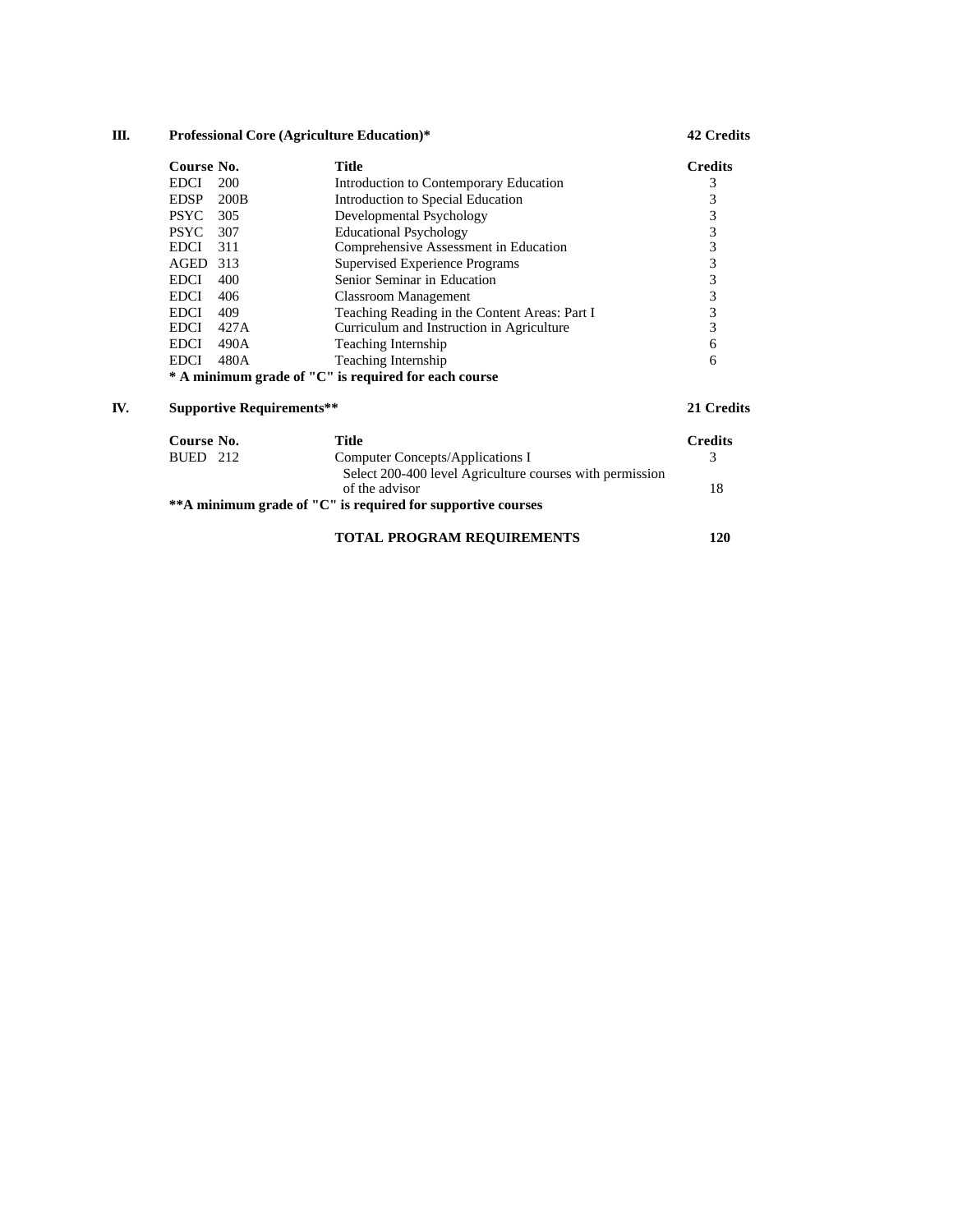# **III. Professional Core (Agriculture Education)\* 42 Credits**

|     | Course No.  |                                  | <b>Title</b>                                         | <b>Credits</b> |
|-----|-------------|----------------------------------|------------------------------------------------------|----------------|
|     | <b>EDCI</b> | 200                              | Introduction to Contemporary Education               | 3              |
|     | <b>EDSP</b> | 200B                             | Introduction to Special Education                    | 3              |
|     | <b>PSYC</b> | 305                              | Developmental Psychology                             | 3              |
|     | <b>PSYC</b> | 307                              | <b>Educational Psychology</b>                        | 3              |
|     | <b>EDCI</b> | 311                              | Comprehensive Assessment in Education                | 3              |
|     | AGED        | -313                             | Supervised Experience Programs                       | 3              |
|     | <b>EDCI</b> | 400                              | Senior Seminar in Education                          | 3              |
|     | <b>EDCI</b> | 406                              | <b>Classroom Management</b>                          | 3              |
|     | <b>EDCI</b> | 409                              | Teaching Reading in the Content Areas: Part I        | 3              |
|     | <b>EDCI</b> | 427A                             | Curriculum and Instruction in Agriculture            | 3              |
|     | <b>EDCI</b> | 490A                             | Teaching Internship                                  | 6              |
|     | <b>EDCI</b> | 480A                             | Teaching Internship                                  | 6              |
|     |             |                                  | * A minimum grade of "C" is required for each course |                |
| IV. |             | <b>Supportive Requirements**</b> |                                                      | 21 Credits     |

| Course No.          | Title                                                        | <b>Credits</b> |
|---------------------|--------------------------------------------------------------|----------------|
| <b>BUED</b><br>2.12 | Computer Concepts/Applications I                             |                |
|                     | Select 200-400 level Agriculture courses with permission     |                |
|                     | of the advisor                                               | 18             |
|                     | ** A minimum grade of "C" is required for supportive courses |                |
|                     |                                                              |                |

# **TOTAL PROGRAM REQUIREMENTS 120**